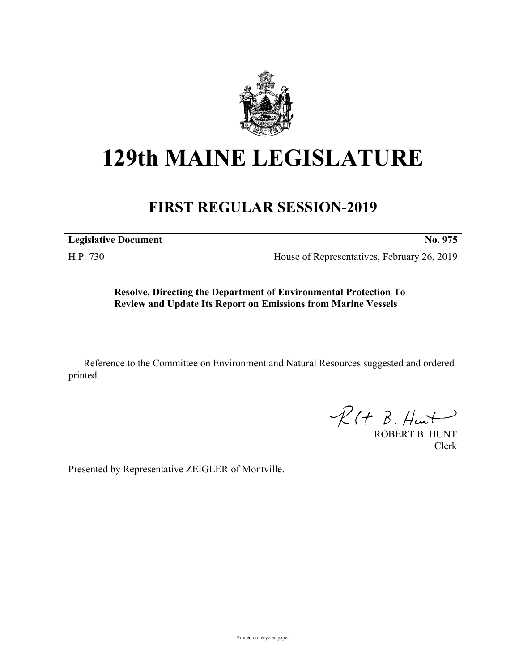

## **129th MAINE LEGISLATURE**

## **FIRST REGULAR SESSION-2019**

**Legislative Document No. 975**

H.P. 730 House of Representatives, February 26, 2019

**Resolve, Directing the Department of Environmental Protection To Review and Update Its Report on Emissions from Marine Vessels**

Reference to the Committee on Environment and Natural Resources suggested and ordered printed.

 $R(H B. H<sub>un</sub>+)$ 

ROBERT B. HUNT Clerk

Presented by Representative ZEIGLER of Montville.